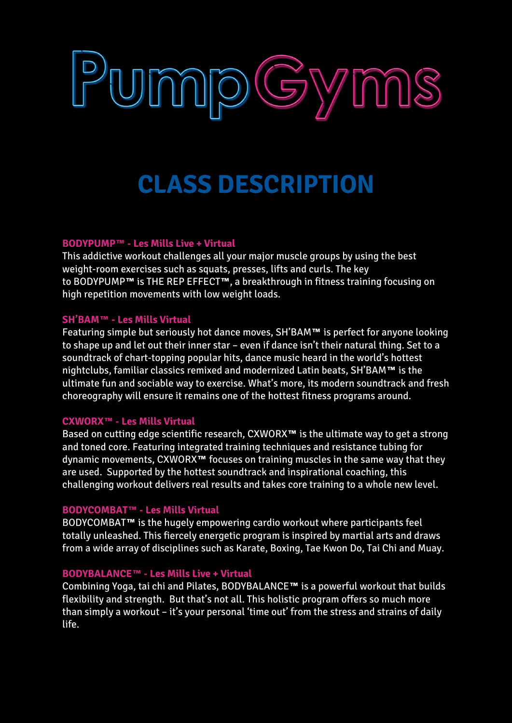# PumpGyms

# **CLASS DESCRIPTION**

## **BODYPUMP™ - Les Mills Live + Virtual**

This addictive workout challenges all your major muscle groups by using the best weight-room exercises such as squats, presses, lifts and curls. The key to BODYPUMP**™** is THE REP EFFECT**™**, a breakthrough in fitness training focusing on high repetition movements with low weight loads.

### **SH'BAM™ - Les Mills Virtual**

Featuring simple but seriously hot dance moves, SH'BAM**™** is perfect for anyone looking to shape up and let out their inner star – even if dance isn't their natural thing. Set to a soundtrack of chart-topping popular hits, dance music heard in the world's hottest nightclubs, familiar classics remixed and modernized Latin beats, SH'BAM**™** is the ultimate fun and sociable way to exercise. What's more, its modern soundtrack and fresh choreography will ensure it remains one of the hottest fitness programs around.

# **CXWORX™ - Les Mills Virtual**

Based on cutting edge scientific research, CXWORX**™** is the ultimate way to get a strong and toned core. Featuring integrated training techniques and resistance tubing for dynamic movements, CXWORX**™** focuses on training muscles in the same way that they are used. Supported by the hottest soundtrack and inspirational coaching, this challenging workout delivers real results and takes core training to a whole new level.

### **BODYCOMBAT™ - Les Mills Virtual**

BODYCOMBAT**™** is the hugely empowering cardio workout where participants feel totally unleashed. This fiercely energetic program is inspired by martial arts and draws from a wide array of disciplines such as Karate, Boxing, Tae Kwon Do, Tai Chi and Muay.

### **BODYBALANCE™ - Les Mills Live + Virtual**

Combining Yoga, tai chi and Pilates, BODYBALANCE**™** is a powerful workout that builds flexibility and strength. But that's not all. This holistic program offers so much more than simply a workout – it's your personal 'time out' from the stress and strains of daily life.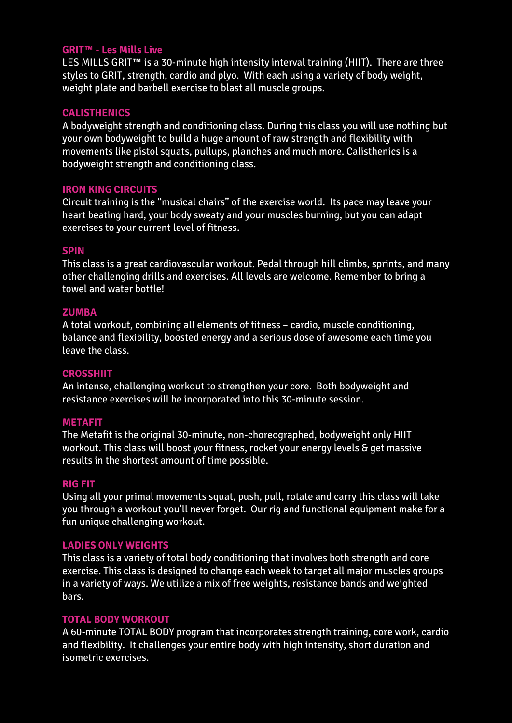### **GRIT™ - Les Mills Live**

LES MILLS GRIT**™** is a 30-minute high intensity interval training (HIIT). There are three styles to GRIT, strength, cardio and plyo. With each using a variety of body weight, weight plate and barbell exercise to blast all muscle groups.

### **CALISTHENICS**

A bodyweight strength and conditioning class. During this class you will use nothing but your own bodyweight to build a huge amount of raw strength and flexibility with movements like pistol squats, pullups, planches and much more. Calisthenics is a bodyweight strength and conditioning class.

### **IRON KING CIRCUITS**

Circuit training is the "musical chairs" of the exercise world. Its pace may leave your heart beating hard, your body sweaty and your muscles burning, but you can adapt exercises to your current level of fitness.

### **SPIN**

This class is a great cardiovascular workout. Pedal through hill climbs, sprints, and many other challenging drills and exercises. All levels are welcome. Remember to bring a towel and water bottle!

### **ZUMBA**

A total workout, combining all elements of fitness – cardio, muscle conditioning, balance and flexibility, boosted energy and a serious dose of awesome each time you leave the class.

### **CROSSHIIT**

An intense, challenging workout to strengthen your core. Both bodyweight and resistance exercises will be incorporated into this 30-minute session.

### **METAFIT**

The Metafit is the original 30-minute, non-choreographed, bodyweight only HIIT workout. This class will boost your fitness, rocket your energy levels & get massive results in the shortest amount of time possible.

### **RIG FIT**

Using all your primal movements squat, push, pull, rotate and carry this class will take you through a workout you'll never forget. Our rig and functional equipment make for a fun unique challenging workout.

### **LADIES ONLY WEIGHTS**

This class is a variety of total body conditioning that involves both strength and core exercise. This class is designed to change each week to target all major muscles groups in a variety of ways. We utilize a mix of free weights, resistance bands and weighted bars.

### **TOTAL BODY WORKOUT**

A 60-minute TOTAL BODY program that incorporates strength training, core work, cardio and flexibility. It challenges your entire body with high intensity, short duration and isometric exercises.